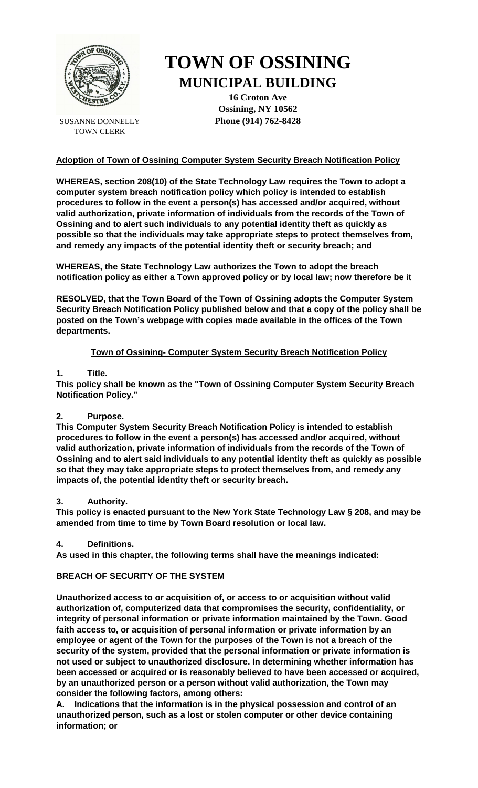

SUSANNE DONNELLY TOWN CLERK

# **TOWN OF OSSINING MUNICIPAL BUILDING**

**16 Croton Ave Ossining, NY 10562 Phone (914) 762-8428**

## **Adoption of Town of Ossining Computer System Security Breach Notification Policy**

**WHEREAS, section 208(10) of the State Technology Law requires the Town to adopt a computer system breach notification policy which policy is intended to establish procedures to follow in the event a person(s) has accessed and/or acquired, without valid authorization, private information of individuals from the records of the Town of Ossining and to alert such individuals to any potential identity theft as quickly as possible so that the individuals may take appropriate steps to protect themselves from, and remedy any impacts of the potential identity theft or security breach; and**

**WHEREAS, the State Technology Law authorizes the Town to adopt the breach notification policy as either a Town approved policy or by local law; now therefore be it** 

**RESOLVED, that the Town Board of the Town of Ossining adopts the Computer System Security Breach Notification Policy published below and that a copy of the policy shall be posted on the Town's webpage with copies made available in the offices of the Town departments.**

## **Town of Ossining- Computer System Security Breach Notification Policy**

## **1. Title.**

**This policy shall be known as the "Town of Ossining Computer System Security Breach Notification Policy."**

## **2. Purpose.**

**This Computer System Security Breach Notification Policy is intended to establish procedures to follow in the event a person(s) has accessed and/or acquired, without valid authorization, private information of individuals from the records of the Town of Ossining and to alert said individuals to any potential identity theft as quickly as possible so that they may take appropriate steps to protect themselves from, and remedy any impacts of, the potential identity theft or security breach.**

## **3. Authority.**

**This policy is enacted pursuant to the New York State Technology Law § 208, and may be amended from time to time by Town Board resolution or local law.**

## **4. Definitions.**

**As used in this chapter, the following terms shall have the meanings indicated:**

# **BREACH OF SECURITY OF THE SYSTEM**

**Unauthorized access to or acquisition of, or access to or acquisition without valid authorization of, computerized data that compromises the security, confidentiality, or integrity of personal information or private information maintained by the Town. Good faith access to, or acquisition of personal information or private information by an employee or agent of the Town for the purposes of the Town is not a breach of the security of the system, provided that the personal information or private information is not used or subject to unauthorized disclosure. In determining whether information has been accessed or acquired or is reasonably believed to have been accessed or acquired, by an unauthorized person or a person without valid authorization, the Town may consider the following factors, among others:**

**A. Indications that the information is in the physical possession and control of an unauthorized person, such as a lost or stolen computer or other device containing information; or**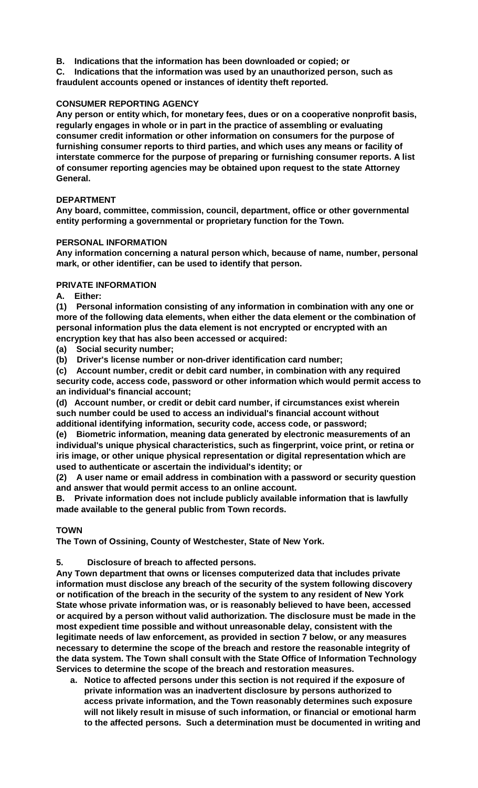- **B. Indications that the information has been downloaded or copied; or**
- **C. Indications that the information was used by an unauthorized person, such as fraudulent accounts opened or instances of identity theft reported.**

## **CONSUMER REPORTING AGENCY**

**Any person or entity which, for monetary fees, dues or on a cooperative nonprofit basis, regularly engages in whole or in part in the practice of assembling or evaluating consumer credit information or other information on consumers for the purpose of furnishing consumer reports to third parties, and which uses any means or facility of interstate commerce for the purpose of preparing or furnishing consumer reports. A list of consumer reporting agencies may be obtained upon request to the state Attorney General.**

## **DEPARTMENT**

**Any board, committee, commission, council, department, office or other governmental entity performing a governmental or proprietary function for the Town.**

## **PERSONAL INFORMATION**

**Any information concerning a natural person which, because of name, number, personal mark, or other identifier, can be used to identify that person.**

## **PRIVATE INFORMATION**

**A. Either:**

**(1) Personal information consisting of any information in combination with any one or more of the following data elements, when either the data element or the combination of personal information plus the data element is not encrypted or encrypted with an encryption key that has also been accessed or acquired:**

**(a) Social security number;** 

**(b) Driver's license number or non-driver identification card number;** 

**(c) Account number, credit or debit card number, in combination with any required security code, access code, password or other information which would permit access to an individual's financial account;** 

**(d) Account number, or credit or debit card number, if circumstances exist wherein such number could be used to access an individual's financial account without additional identifying information, security code, access code, or password;** 

**(e) Biometric information, meaning data generated by electronic measurements of an individual's unique physical characteristics, such as fingerprint, voice print, or retina or iris image, or other unique physical representation or digital representation which are used to authenticate or ascertain the individual's identity; or** 

**(2) A user name or email address in combination with a password or security question and answer that would permit access to an online account.** 

**B. Private information does not include publicly available information that is lawfully made available to the general public from Town records.** 

# **TOWN**

**The Town of Ossining, County of Westchester, State of New York.**

**5. Disclosure of breach to affected persons.** 

**Any Town department that owns or licenses computerized data that includes private information must disclose any breach of the security of the system following discovery or notification of the breach in the security of the system to any resident of New York State whose private information was, or is reasonably believed to have been, accessed or acquired by a person without valid authorization. The disclosure must be made in the most expedient time possible and without unreasonable delay, consistent with the legitimate needs of law enforcement, as provided in section 7 below, or any measures necessary to determine the scope of the breach and restore the reasonable integrity of the data system. The Town shall consult with the State Office of Information Technology Services to determine the scope of the breach and restoration measures.**

**a. Notice to affected persons under this section is not required if the exposure of private information was an inadvertent disclosure by persons authorized to access private information, and the Town reasonably determines such exposure will not likely result in misuse of such information, or financial or emotional harm to the affected persons. Such a determination must be documented in writing and**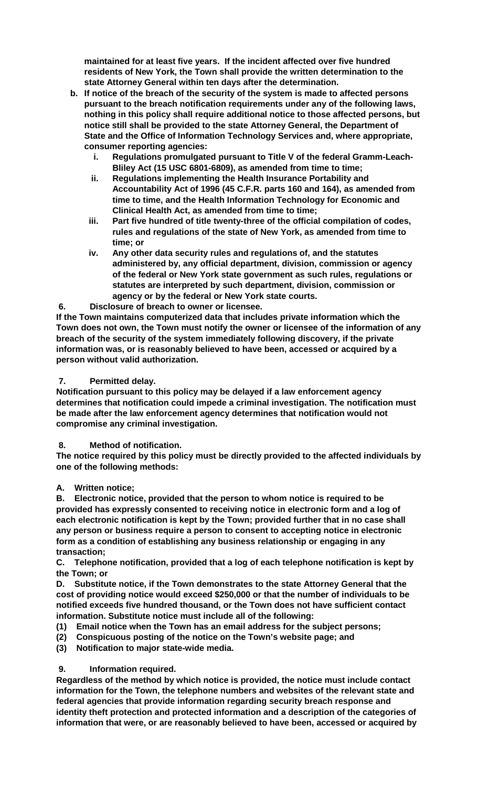**maintained for at least five years. If the incident affected over five hundred residents of New York, the Town shall provide the written determination to the state Attorney General within ten days after the determination.**

- **b. If notice of the breach of the security of the system is made to affected persons pursuant to the breach notification requirements under any of the following laws, nothing in this policy shall require additional notice to those affected persons, but notice still shall be provided to the state Attorney General, the Department of State and the Office of Information Technology Services and, where appropriate, consumer reporting agencies:**
	- **i. Regulations promulgated pursuant to Title V of the federal Gramm-Leach-Bliley Act (15 USC 6801-6809), as amended from time to time;**
	- **ii. Regulations implementing the Health Insurance Portability and Accountability Act of 1996 (45 C.F.R. parts 160 and 164), as amended from time to time, and the Health Information Technology for Economic and Clinical Health Act, as amended from time to time;**
	- **iii. Part five hundred of title twenty-three of the official compilation of codes, rules and regulations of the state of New York, as amended from time to time; or**
	- **iv. Any other data security rules and regulations of, and the statutes administered by, any official department, division, commission or agency of the federal or New York state government as such rules, regulations or statutes are interpreted by such department, division, commission or agency or by the federal or New York state courts.**

**6. Disclosure of breach to owner or licensee.** 

**If the Town maintains computerized data that includes private information which the Town does not own, the Town must notify the owner or licensee of the information of any breach of the security of the system immediately following discovery, if the private information was, or is reasonably believed to have been, accessed or acquired by a person without valid authorization.**

## **7. Permitted delay.**

**Notification pursuant to this policy may be delayed if a law enforcement agency determines that notification could impede a criminal investigation. The notification must be made after the law enforcement agency determines that notification would not compromise any criminal investigation.**

## **8. Method of notification.**

**The notice required by this policy must be directly provided to the affected individuals by one of the following methods:**

## **A. Written notice;**

**B. Electronic notice, provided that the person to whom notice is required to be provided has expressly consented to receiving notice in electronic form and a log of each electronic notification is kept by the Town; provided further that in no case shall any person or business require a person to consent to accepting notice in electronic form as a condition of establishing any business relationship or engaging in any transaction;** 

**C. Telephone notification, provided that a log of each telephone notification is kept by the Town; or** 

**D. Substitute notice, if the Town demonstrates to the state Attorney General that the cost of providing notice would exceed \$250,000 or that the number of individuals to be notified exceeds five hundred thousand, or the Town does not have sufficient contact information. Substitute notice must include all of the following:**

- **(1) Email notice when the Town has an email address for the subject persons;**
- **(2) Conspicuous posting of the notice on the Town's website page; and**
- **(3) Notification to major state-wide media.**

## **9. Information required.**

**Regardless of the method by which notice is provided, the notice must include contact information for the Town, the telephone numbers and websites of the relevant state and federal agencies that provide information regarding security breach response and identity theft protection and protected information and a description of the categories of information that were, or are reasonably believed to have been, accessed or acquired by**